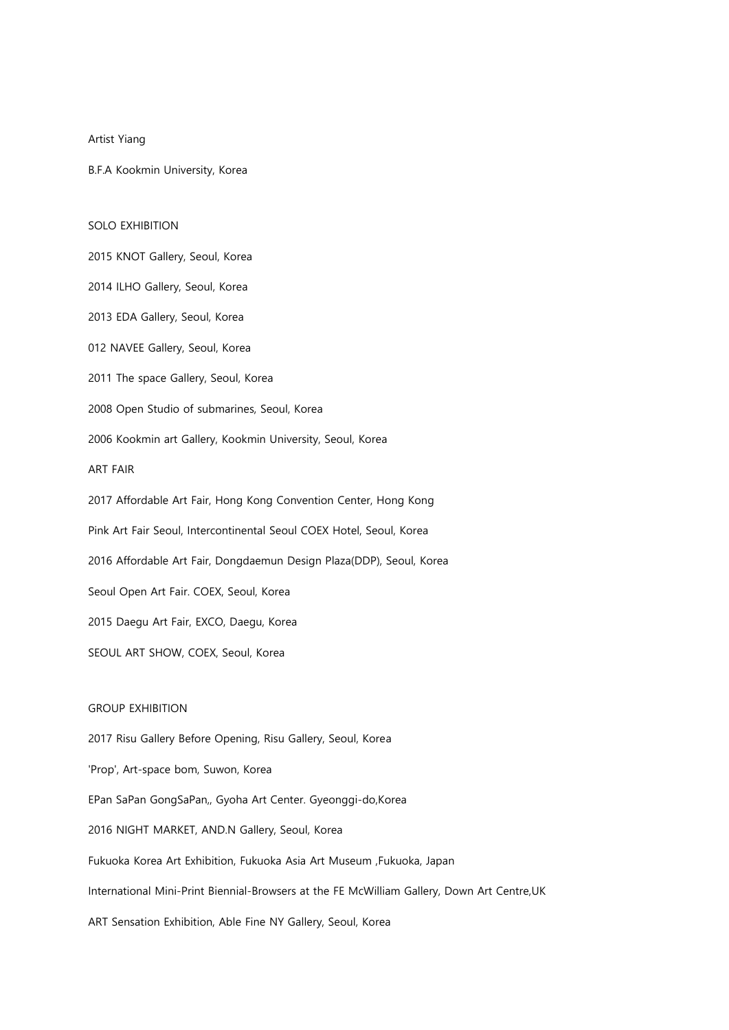Artist Yiang

B.F.A Kookmin University, Korea

## SOLO EXHIBITION

2015 KNOT Gallery, Seoul, Korea 2014 ILHO Gallery, Seoul, Korea 2013 EDA Gallery, Seoul, Korea 012 NAVEE Gallery, Seoul, Korea 2011 The space Gallery, Seoul, Korea 2008 Open Studio of submarines, Seoul, Korea 2006 Kookmin art Gallery, Kookmin University, Seoul, Korea ART FAIR 2017 Affordable Art Fair, Hong Kong Convention Center, Hong Kong Pink Art Fair Seoul, Intercontinental Seoul COEX Hotel, Seoul, Korea 2016 Affordable Art Fair, Dongdaemun Design Plaza(DDP), Seoul, Korea Seoul Open Art Fair. COEX, Seoul, Korea 2015 Daegu Art Fair, EXCO, Daegu, Korea SEOUL ART SHOW, COEX, Seoul, Korea

## GROUP EXHIBITION

2017 Risu Gallery Before Opening, Risu Gallery, Seoul, Korea 'Prop', Art-space bom, Suwon, Korea EPan SaPan GongSaPan,, Gyoha Art Center. Gyeonggi-do,Korea 2016 NIGHT MARKET, AND.N Gallery, Seoul, Korea Fukuoka Korea Art Exhibition, Fukuoka Asia Art Museum ,Fukuoka, Japan International Mini-Print Biennial-Browsers at the FE McWilliam Gallery, Down Art Centre,UK ART Sensation Exhibition, Able Fine NY Gallery, Seoul, Korea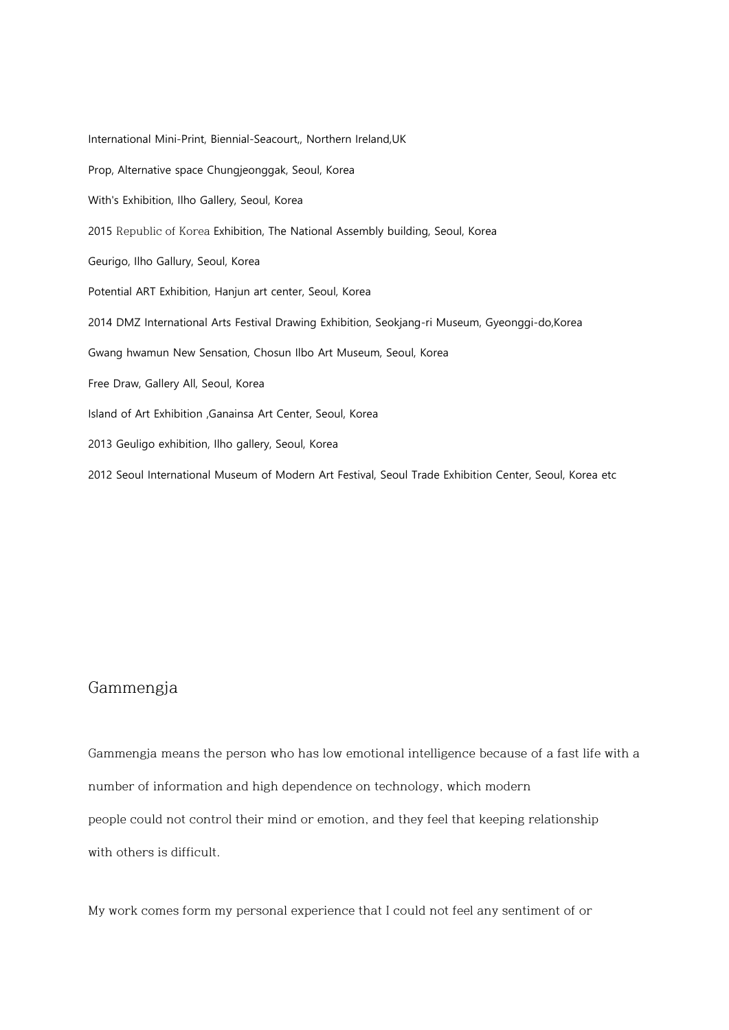International Mini-Print, Biennial-Seacourt,, Northern Ireland,UK Prop, Alternative space Chungjeonggak, Seoul, Korea With's Exhibition, Ilho Gallery, Seoul, Korea 2015 Republic of Korea Exhibition, The National Assembly building, Seoul, Korea Geurigo, Ilho Gallury, Seoul, Korea Potential ART Exhibition, Hanjun art center, Seoul, Korea 2014 DMZ International Arts Festival Drawing Exhibition, Seokjang-ri Museum, Gyeonggi-do,Korea Gwang hwamun New Sensation, Chosun Ilbo Art Museum, Seoul, Korea Free Draw, Gallery All, Seoul, Korea Island of Art Exhibition ,Ganainsa Art Center, Seoul, Korea 2013 Geuligo exhibition, Ilho gallery, Seoul, Korea 2012 Seoul International Museum of Modern Art Festival, Seoul Trade Exhibition Center, Seoul, Korea etc

## Gammengja

Gammengja means the person who has low emotional intelligence because of a fast life with a number of information and high dependence on technology, which modern people could not control their mind or emotion, and they feel that keeping relationship with others is difficult.

My work comes form my personal experience that I could not feel any sentiment of or